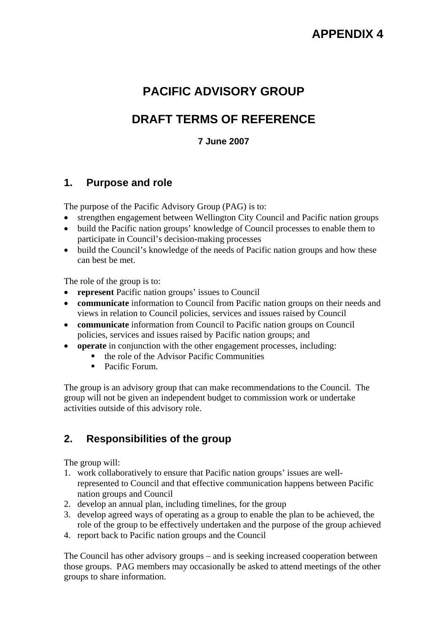# **PACIFIC ADVISORY GROUP**

# **DRAFT TERMS OF REFERENCE**

### **7 June 2007**

## **1. Purpose and role**

The purpose of the Pacific Advisory Group (PAG) is to:

- strengthen engagement between Wellington City Council and Pacific nation groups
- build the Pacific nation groups' knowledge of Council processes to enable them to participate in Council's decision-making processes
- build the Council's knowledge of the needs of Pacific nation groups and how these can best be met.

The role of the group is to:

- **represent** Pacific nation groups' issues to Council
- **communicate** information to Council from Pacific nation groups on their needs and views in relation to Council policies, services and issues raised by Council
- **communicate** information from Council to Pacific nation groups on Council policies, services and issues raised by Pacific nation groups; and
- **operate** in conjunction with the other engagement processes, including:
	- $\blacksquare$  the role of the Advisor Pacific Communities
	- Pacific Forum.

The group is an advisory group that can make recommendations to the Council. The group will not be given an independent budget to commission work or undertake activities outside of this advisory role.

# **2. Responsibilities of the group**

The group will:

- 1. work collaboratively to ensure that Pacific nation groups' issues are wellrepresented to Council and that effective communication happens between Pacific nation groups and Council
- 2. develop an annual plan, including timelines, for the group
- 3. develop agreed ways of operating as a group to enable the plan to be achieved, the role of the group to be effectively undertaken and the purpose of the group achieved
- 4. report back to Pacific nation groups and the Council

The Council has other advisory groups – and is seeking increased cooperation between those groups. PAG members may occasionally be asked to attend meetings of the other groups to share information.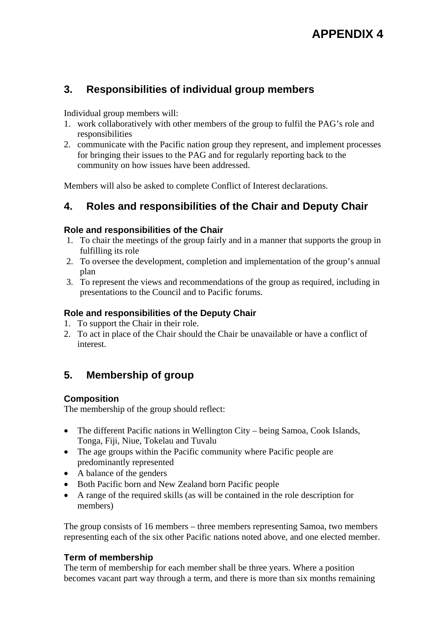# **3. Responsibilities of individual group members**

Individual group members will:

- 1. work collaboratively with other members of the group to fulfil the PAG's role and responsibilities
- 2. communicate with the Pacific nation group they represent, and implement processes for bringing their issues to the PAG and for regularly reporting back to the community on how issues have been addressed.

Members will also be asked to complete Conflict of Interest declarations.

# **4. Roles and responsibilities of the Chair and Deputy Chair**

#### **Role and responsibilities of the Chair**

- 1. To chair the meetings of the group fairly and in a manner that supports the group in fulfilling its role
- 2. To oversee the development, completion and implementation of the group's annual plan
- 3. To represent the views and recommendations of the group as required, including in presentations to the Council and to Pacific forums.

### **Role and responsibilities of the Deputy Chair**

- 1. To support the Chair in their role.
- 2. To act in place of the Chair should the Chair be unavailable or have a conflict of interest.

# **5. Membership of group**

#### **Composition**

The membership of the group should reflect:

- The different Pacific nations in Wellington City being Samoa, Cook Islands, Tonga, Fiji, Niue, Tokelau and Tuvalu
- The age groups within the Pacific community where Pacific people are predominantly represented
- A balance of the genders
- Both Pacific born and New Zealand born Pacific people
- A range of the required skills (as will be contained in the role description for members)

The group consists of 16 members – three members representing Samoa, two members representing each of the six other Pacific nations noted above, and one elected member.

#### **Term of membership**

The term of membership for each member shall be three years. Where a position becomes vacant part way through a term, and there is more than six months remaining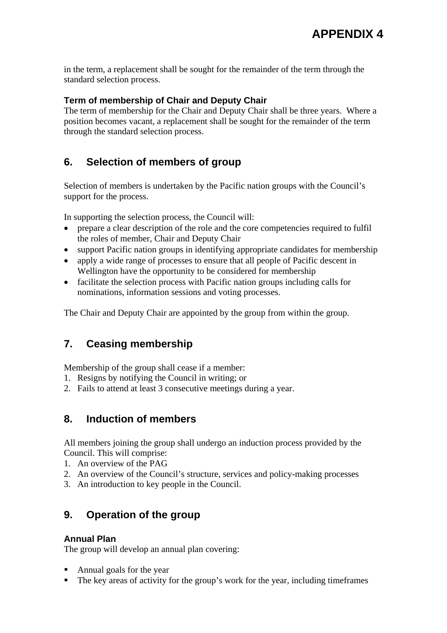in the term, a replacement shall be sought for the remainder of the term through the standard selection process.

#### **Term of membership of Chair and Deputy Chair**

The term of membership for the Chair and Deputy Chair shall be three years. Where a position becomes vacant, a replacement shall be sought for the remainder of the term through the standard selection process.

# **6. Selection of members of group**

Selection of members is undertaken by the Pacific nation groups with the Council's support for the process.

In supporting the selection process, the Council will:

- prepare a clear description of the role and the core competencies required to fulfil the roles of member, Chair and Deputy Chair
- support Pacific nation groups in identifying appropriate candidates for membership
- apply a wide range of processes to ensure that all people of Pacific descent in Wellington have the opportunity to be considered for membership
- facilitate the selection process with Pacific nation groups including calls for nominations, information sessions and voting processes.

The Chair and Deputy Chair are appointed by the group from within the group.

# **7. Ceasing membership**

Membership of the group shall cease if a member:

- 1. Resigns by notifying the Council in writing; or
- 2. Fails to attend at least 3 consecutive meetings during a year.

### **8. Induction of members**

All members joining the group shall undergo an induction process provided by the Council. This will comprise:

- 1. An overview of the PAG
- 2. An overview of the Council's structure, services and policy-making processes
- 3. An introduction to key people in the Council.

### **9. Operation of the group**

#### **Annual Plan**

The group will develop an annual plan covering:

- Annual goals for the year
- The key areas of activity for the group's work for the year, including timeframes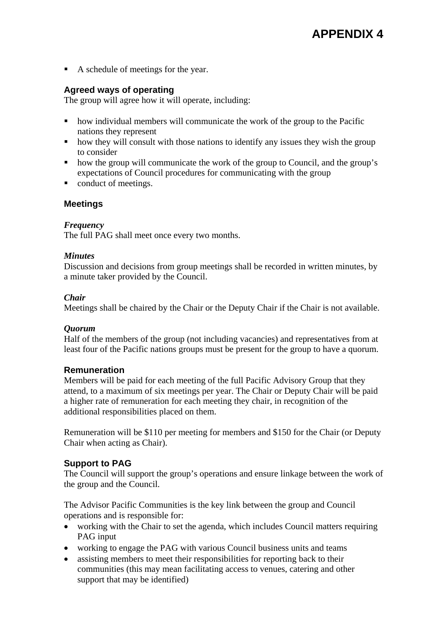A schedule of meetings for the year.

### **Agreed ways of operating**

The group will agree how it will operate, including:

- how individual members will communicate the work of the group to the Pacific nations they represent
- how they will consult with those nations to identify any issues they wish the group to consider
- how the group will communicate the work of the group to Council, and the group's expectations of Council procedures for communicating with the group
- conduct of meetings.

### **Meetings**

#### *Frequency*

The full PAG shall meet once every two months.

#### *Minutes*

Discussion and decisions from group meetings shall be recorded in written minutes, by a minute taker provided by the Council.

#### *Chair*

Meetings shall be chaired by the Chair or the Deputy Chair if the Chair is not available.

#### *Quorum*

Half of the members of the group (not including vacancies) and representatives from at least four of the Pacific nations groups must be present for the group to have a quorum.

#### **Remuneration**

Members will be paid for each meeting of the full Pacific Advisory Group that they attend, to a maximum of six meetings per year. The Chair or Deputy Chair will be paid a higher rate of remuneration for each meeting they chair, in recognition of the additional responsibilities placed on them.

Remuneration will be \$110 per meeting for members and \$150 for the Chair (or Deputy Chair when acting as Chair).

#### **Support to PAG**

The Council will support the group's operations and ensure linkage between the work of the group and the Council.

The Advisor Pacific Communities is the key link between the group and Council operations and is responsible for:

- working with the Chair to set the agenda, which includes Council matters requiring PAG input
- working to engage the PAG with various Council business units and teams
- assisting members to meet their responsibilities for reporting back to their communities (this may mean facilitating access to venues, catering and other support that may be identified)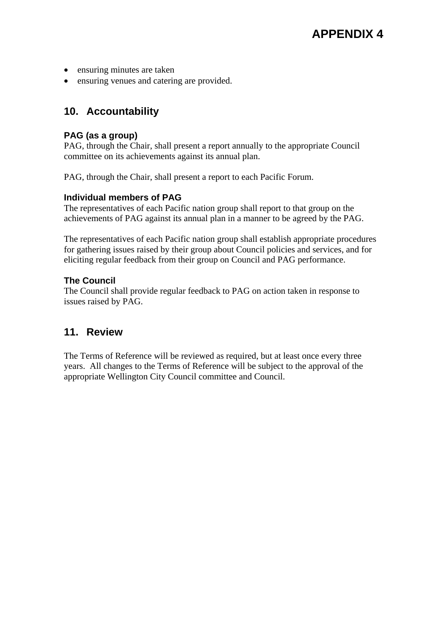- ensuring minutes are taken
- ensuring venues and catering are provided.

## **10. Accountability**

#### **PAG (as a group)**

PAG, through the Chair, shall present a report annually to the appropriate Council committee on its achievements against its annual plan.

PAG, through the Chair, shall present a report to each Pacific Forum.

#### **Individual members of PAG**

The representatives of each Pacific nation group shall report to that group on the achievements of PAG against its annual plan in a manner to be agreed by the PAG.

The representatives of each Pacific nation group shall establish appropriate procedures for gathering issues raised by their group about Council policies and services, and for eliciting regular feedback from their group on Council and PAG performance.

#### **The Council**

The Council shall provide regular feedback to PAG on action taken in response to issues raised by PAG.

# **11. Review**

The Terms of Reference will be reviewed as required, but at least once every three years. All changes to the Terms of Reference will be subject to the approval of the appropriate Wellington City Council committee and Council.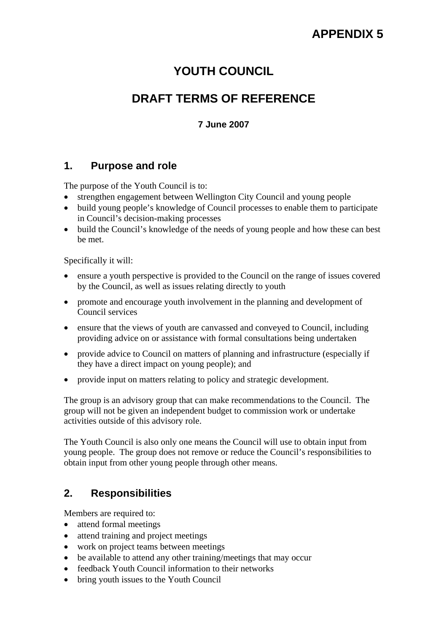# **YOUTH COUNCIL**

# **DRAFT TERMS OF REFERENCE**

### **7 June 2007**

### **1. Purpose and role**

The purpose of the Youth Council is to:

- strengthen engagement between Wellington City Council and young people
- build young people's knowledge of Council processes to enable them to participate in Council's decision-making processes
- build the Council's knowledge of the needs of young people and how these can best be met.

Specifically it will:

- ensure a youth perspective is provided to the Council on the range of issues covered by the Council, as well as issues relating directly to youth
- promote and encourage youth involvement in the planning and development of Council services
- ensure that the views of youth are canvassed and conveyed to Council, including providing advice on or assistance with formal consultations being undertaken
- provide advice to Council on matters of planning and infrastructure (especially if they have a direct impact on young people); and
- provide input on matters relating to policy and strategic development.

The group is an advisory group that can make recommendations to the Council. The group will not be given an independent budget to commission work or undertake activities outside of this advisory role.

The Youth Council is also only one means the Council will use to obtain input from young people. The group does not remove or reduce the Council's responsibilities to obtain input from other young people through other means.

# **2. Responsibilities**

Members are required to:

- attend formal meetings
- attend training and project meetings
- work on project teams between meetings
- be available to attend any other training/meetings that may occur
- feedback Youth Council information to their networks
- bring youth issues to the Youth Council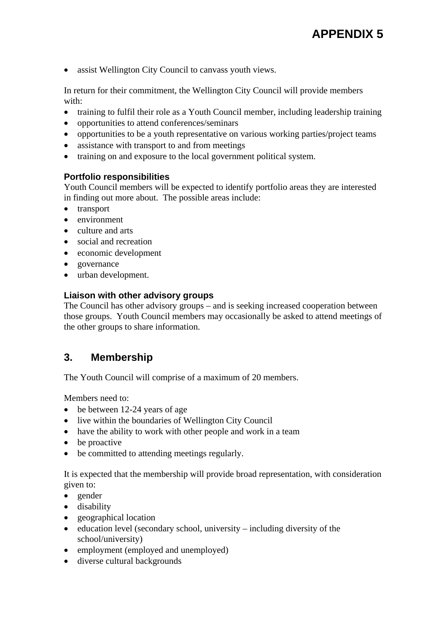• assist Wellington City Council to canvass youth views.

In return for their commitment, the Wellington City Council will provide members with:

- training to fulfil their role as a Youth Council member, including leadership training
- opportunities to attend conferences/seminars
- opportunities to be a youth representative on various working parties/project teams
- assistance with transport to and from meetings
- training on and exposure to the local government political system.

#### **Portfolio responsibilities**

Youth Council members will be expected to identify portfolio areas they are interested in finding out more about. The possible areas include:

- transport
- environment
- culture and arts
- social and recreation
- economic development
- governance
- urban development.

#### **Liaison with other advisory groups**

The Council has other advisory groups – and is seeking increased cooperation between those groups. Youth Council members may occasionally be asked to attend meetings of the other groups to share information.

### **3. Membership**

The Youth Council will comprise of a maximum of 20 members.

Members need to:

- be between 12-24 years of age
- live within the boundaries of Wellington City Council
- have the ability to work with other people and work in a team
- be proactive
- be committed to attending meetings regularly.

It is expected that the membership will provide broad representation, with consideration given to:

- gender
- disability
- geographical location
- education level (secondary school, university including diversity of the school/university)
- employment (employed and unemployed)
- diverse cultural backgrounds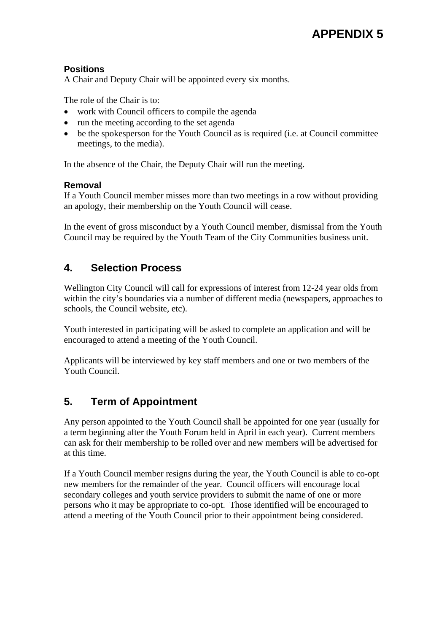### **Positions**

A Chair and Deputy Chair will be appointed every six months.

The role of the Chair is to:

- work with Council officers to compile the agenda
- run the meeting according to the set agenda
- be the spokesperson for the Youth Council as is required (i.e. at Council committee meetings, to the media).

In the absence of the Chair, the Deputy Chair will run the meeting.

### **Removal**

If a Youth Council member misses more than two meetings in a row without providing an apology, their membership on the Youth Council will cease.

In the event of gross misconduct by a Youth Council member, dismissal from the Youth Council may be required by the Youth Team of the City Communities business unit.

# **4. Selection Process**

Wellington City Council will call for expressions of interest from 12-24 year olds from within the city's boundaries via a number of different media (newspapers, approaches to schools, the Council website, etc).

Youth interested in participating will be asked to complete an application and will be encouraged to attend a meeting of the Youth Council.

Applicants will be interviewed by key staff members and one or two members of the Youth Council.

# **5. Term of Appointment**

Any person appointed to the Youth Council shall be appointed for one year (usually for a term beginning after the Youth Forum held in April in each year). Current members can ask for their membership to be rolled over and new members will be advertised for at this time.

If a Youth Council member resigns during the year, the Youth Council is able to co-opt new members for the remainder of the year. Council officers will encourage local secondary colleges and youth service providers to submit the name of one or more persons who it may be appropriate to co-opt. Those identified will be encouraged to attend a meeting of the Youth Council prior to their appointment being considered.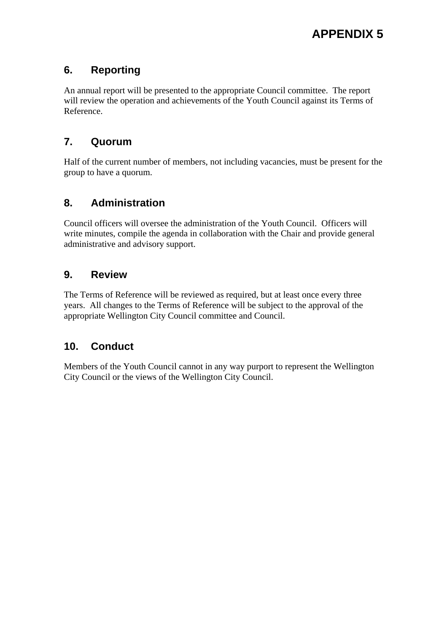# **6. Reporting**

An annual report will be presented to the appropriate Council committee. The report will review the operation and achievements of the Youth Council against its Terms of Reference.

# **7. Quorum**

Half of the current number of members, not including vacancies, must be present for the group to have a quorum.

# **8. Administration**

Council officers will oversee the administration of the Youth Council. Officers will write minutes, compile the agenda in collaboration with the Chair and provide general administrative and advisory support.

# **9. Review**

The Terms of Reference will be reviewed as required, but at least once every three years. All changes to the Terms of Reference will be subject to the approval of the appropriate Wellington City Council committee and Council.

# **10. Conduct**

Members of the Youth Council cannot in any way purport to represent the Wellington City Council or the views of the Wellington City Council.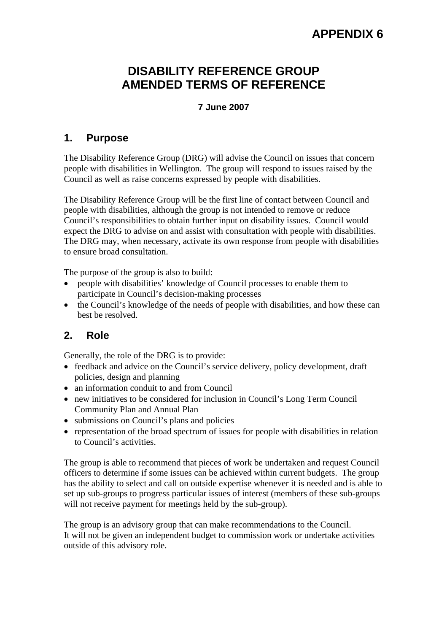# **DISABILITY REFERENCE GROUP AMENDED TERMS OF REFERENCE**

#### **7 June 2007**

### **1. Purpose**

The Disability Reference Group (DRG) will advise the Council on issues that concern people with disabilities in Wellington. The group will respond to issues raised by the Council as well as raise concerns expressed by people with disabilities.

The Disability Reference Group will be the first line of contact between Council and people with disabilities, although the group is not intended to remove or reduce Council's responsibilities to obtain further input on disability issues. Council would expect the DRG to advise on and assist with consultation with people with disabilities. The DRG may, when necessary, activate its own response from people with disabilities to ensure broad consultation.

The purpose of the group is also to build:

- people with disabilities' knowledge of Council processes to enable them to participate in Council's decision-making processes
- the Council's knowledge of the needs of people with disabilities, and how these can best be resolved.

# **2. Role**

Generally, the role of the DRG is to provide:

- feedback and advice on the Council's service delivery, policy development, draft policies, design and planning
- an information conduit to and from Council
- new initiatives to be considered for inclusion in Council's Long Term Council Community Plan and Annual Plan
- submissions on Council's plans and policies
- representation of the broad spectrum of issues for people with disabilities in relation to Council's activities.

The group is able to recommend that pieces of work be undertaken and request Council officers to determine if some issues can be achieved within current budgets. The group has the ability to select and call on outside expertise whenever it is needed and is able to set up sub-groups to progress particular issues of interest (members of these sub-groups will not receive payment for meetings held by the sub-group).

The group is an advisory group that can make recommendations to the Council. It will not be given an independent budget to commission work or undertake activities outside of this advisory role.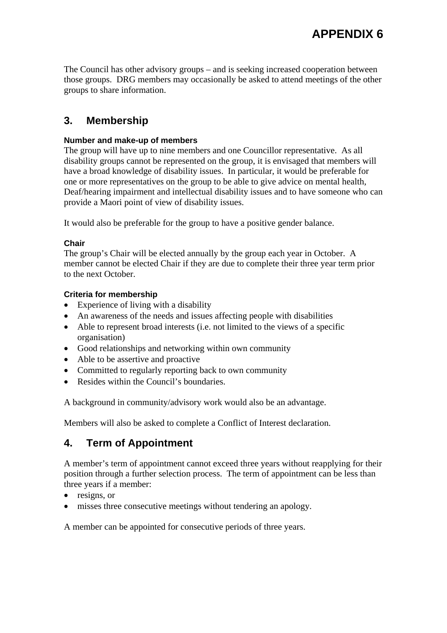The Council has other advisory groups – and is seeking increased cooperation between those groups. DRG members may occasionally be asked to attend meetings of the other groups to share information.

# **3. Membership**

#### **Number and make-up of members**

The group will have up to nine members and one Councillor representative. As all disability groups cannot be represented on the group, it is envisaged that members will have a broad knowledge of disability issues. In particular, it would be preferable for one or more representatives on the group to be able to give advice on mental health, Deaf/hearing impairment and intellectual disability issues and to have someone who can provide a Maori point of view of disability issues.

It would also be preferable for the group to have a positive gender balance.

#### **Chair**

The group's Chair will be elected annually by the group each year in October. A member cannot be elected Chair if they are due to complete their three year term prior to the next October.

#### **Criteria for membership**

- Experience of living with a disability
- An awareness of the needs and issues affecting people with disabilities
- Able to represent broad interests (i.e. not limited to the views of a specific organisation)
- Good relationships and networking within own community
- Able to be assertive and proactive
- Committed to regularly reporting back to own community
- Resides within the Council's boundaries.

A background in community/advisory work would also be an advantage.

Members will also be asked to complete a Conflict of Interest declaration.

### **4. Term of Appointment**

A member's term of appointment cannot exceed three years without reapplying for their position through a further selection process. The term of appointment can be less than three years if a member:

- resigns, or
- misses three consecutive meetings without tendering an apology.

A member can be appointed for consecutive periods of three years.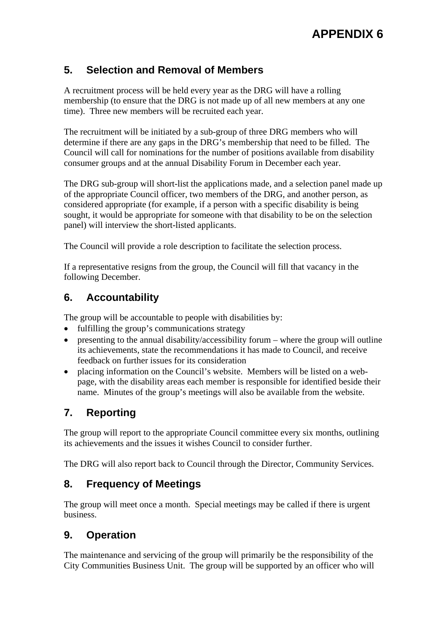# **5. Selection and Removal of Members**

A recruitment process will be held every year as the DRG will have a rolling membership (to ensure that the DRG is not made up of all new members at any one time). Three new members will be recruited each year.

The recruitment will be initiated by a sub-group of three DRG members who will determine if there are any gaps in the DRG's membership that need to be filled. The Council will call for nominations for the number of positions available from disability consumer groups and at the annual Disability Forum in December each year.

The DRG sub-group will short-list the applications made, and a selection panel made up of the appropriate Council officer, two members of the DRG, and another person, as considered appropriate (for example, if a person with a specific disability is being sought, it would be appropriate for someone with that disability to be on the selection panel) will interview the short-listed applicants.

The Council will provide a role description to facilitate the selection process.

If a representative resigns from the group, the Council will fill that vacancy in the following December.

## **6. Accountability**

The group will be accountable to people with disabilities by:

- fulfilling the group's communications strategy
- presenting to the annual disability/accessibility forum where the group will outline its achievements, state the recommendations it has made to Council, and receive feedback on further issues for its consideration
- placing information on the Council's website. Members will be listed on a webpage, with the disability areas each member is responsible for identified beside their name. Minutes of the group's meetings will also be available from the website.

# **7. Reporting**

The group will report to the appropriate Council committee every six months, outlining its achievements and the issues it wishes Council to consider further.

The DRG will also report back to Council through the Director, Community Services.

# **8. Frequency of Meetings**

The group will meet once a month. Special meetings may be called if there is urgent business.

### **9. Operation**

The maintenance and servicing of the group will primarily be the responsibility of the City Communities Business Unit. The group will be supported by an officer who will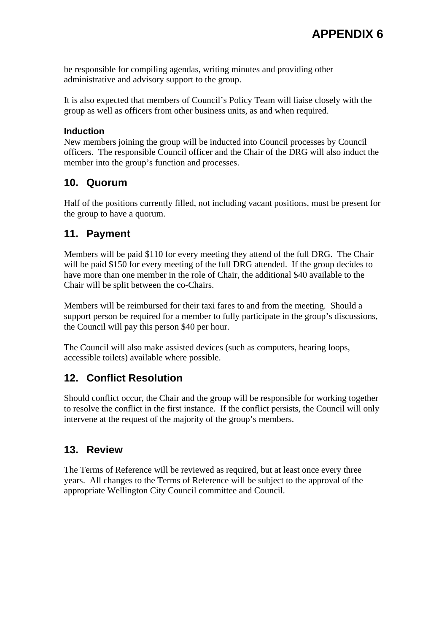be responsible for compiling agendas, writing minutes and providing other administrative and advisory support to the group.

It is also expected that members of Council's Policy Team will liaise closely with the group as well as officers from other business units, as and when required.

#### **Induction**

New members joining the group will be inducted into Council processes by Council officers. The responsible Council officer and the Chair of the DRG will also induct the member into the group's function and processes.

## **10. Quorum**

Half of the positions currently filled, not including vacant positions, must be present for the group to have a quorum.

# **11. Payment**

Members will be paid \$110 for every meeting they attend of the full DRG. The Chair will be paid \$150 for every meeting of the full DRG attended. If the group decides to have more than one member in the role of Chair, the additional \$40 available to the Chair will be split between the co-Chairs.

Members will be reimbursed for their taxi fares to and from the meeting. Should a support person be required for a member to fully participate in the group's discussions, the Council will pay this person \$40 per hour.

The Council will also make assisted devices (such as computers, hearing loops, accessible toilets) available where possible.

# **12. Conflict Resolution**

Should conflict occur, the Chair and the group will be responsible for working together to resolve the conflict in the first instance. If the conflict persists, the Council will only intervene at the request of the majority of the group's members.

### **13. Review**

The Terms of Reference will be reviewed as required, but at least once every three years. All changes to the Terms of Reference will be subject to the approval of the appropriate Wellington City Council committee and Council.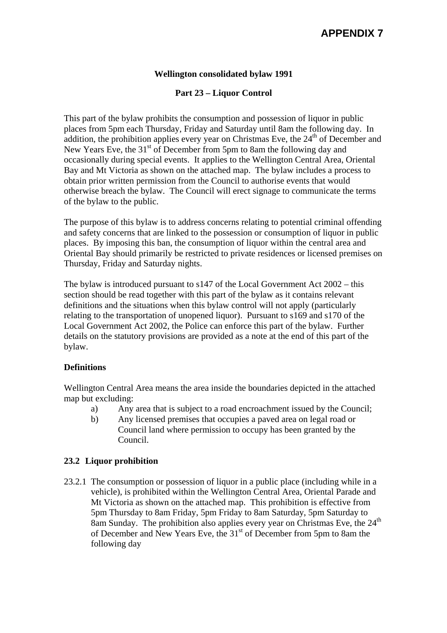#### **Wellington consolidated bylaw 1991**

#### **Part 23 – Liquor Control**

This part of the bylaw prohibits the consumption and possession of liquor in public places from 5pm each Thursday, Friday and Saturday until 8am the following day. In addition, the prohibition applies every year on Christmas Eve, the  $24<sup>th</sup>$  of December and New Years Eve, the  $31<sup>st</sup>$  of December from 5pm to 8am the following day and occasionally during special events. It applies to the Wellington Central Area, Oriental Bay and Mt Victoria as shown on the attached map. The bylaw includes a process to obtain prior written permission from the Council to authorise events that would otherwise breach the bylaw. The Council will erect signage to communicate the terms of the bylaw to the public.

The purpose of this bylaw is to address concerns relating to potential criminal offending and safety concerns that are linked to the possession or consumption of liquor in public places. By imposing this ban, the consumption of liquor within the central area and Oriental Bay should primarily be restricted to private residences or licensed premises on Thursday, Friday and Saturday nights.

The bylaw is introduced pursuant to  $s147$  of the Local Government Act  $2002 - this$ section should be read together with this part of the bylaw as it contains relevant definitions and the situations when this bylaw control will not apply (particularly relating to the transportation of unopened liquor). Pursuant to s169 and s170 of the Local Government Act 2002, the Police can enforce this part of the bylaw. Further details on the statutory provisions are provided as a note at the end of this part of the bylaw.

#### **Definitions**

Wellington Central Area means the area inside the boundaries depicted in the attached map but excluding:

- a) Any area that is subject to a road encroachment issued by the Council;
- b) Any licensed premises that occupies a paved area on legal road or Council land where permission to occupy has been granted by the Council.

#### **23.2 Liquor prohibition**

23.2.1 The consumption or possession of liquor in a public place (including while in a vehicle), is prohibited within the Wellington Central Area, Oriental Parade and Mt Victoria as shown on the attached map. This prohibition is effective from 5pm Thursday to 8am Friday, 5pm Friday to 8am Saturday, 5pm Saturday to 8am Sunday. The prohibition also applies every year on Christmas Eve, the  $24<sup>th</sup>$ of December and New Years Eve, the 31<sup>st</sup> of December from 5pm to 8am the following day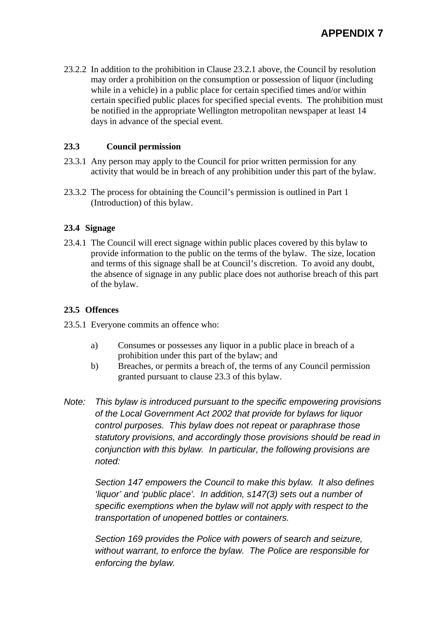23.2.2 In addition to the prohibition in Clause 23.2.1 above, the Council by resolution may order a prohibition on the consumption or possession of liquor (including while in a vehicle) in a public place for certain specified times and/or within certain specified public places for specified special events. The prohibition must be notified in the appropriate Wellington metropolitan newspaper at least 14 days in advance of the special event.

#### **23.3 Council permission**

- 23.3.1 Any person may apply to the Council for prior written permission for any activity that would be in breach of any prohibition under this part of the bylaw.
- 23.3.2 The process for obtaining the Council's permission is outlined in Part 1 (Introduction) of this bylaw.

#### **23.4 Signage**

23.4.1 The Council will erect signage within public places covered by this bylaw to provide information to the public on the terms of the bylaw. The size, location and terms of this signage shall be at Council's discretion. To avoid any doubt, the absence of signage in any public place does not authorise breach of this part of the bylaw.

#### **23.5 Offences**

- 23.5.1 Everyone commits an offence who:
	- a) Consumes or possesses any liquor in a public place in breach of a prohibition under this part of the bylaw; and
	- b) Breaches, or permits a breach of, the terms of any Council permission granted pursuant to clause 23.3 of this bylaw.
- *Note: This bylaw is introduced pursuant to the specific empowering provisions of the Local Government Act 2002 that provide for bylaws for liquor control purposes. This bylaw does not repeat or paraphrase those statutory provisions, and accordingly those provisions should be read in conjunction with this bylaw. In particular, the following provisions are noted:*

 *Section 147 empowers the Council to make this bylaw. It also defines 'liquor' and 'public place'. In addition, s147(3) sets out a number of specific exemptions when the bylaw will not apply with respect to the transportation of unopened bottles or containers.* 

 *Section 169 provides the Police with powers of search and seizure, without warrant, to enforce the bylaw. The Police are responsible for enforcing the bylaw.*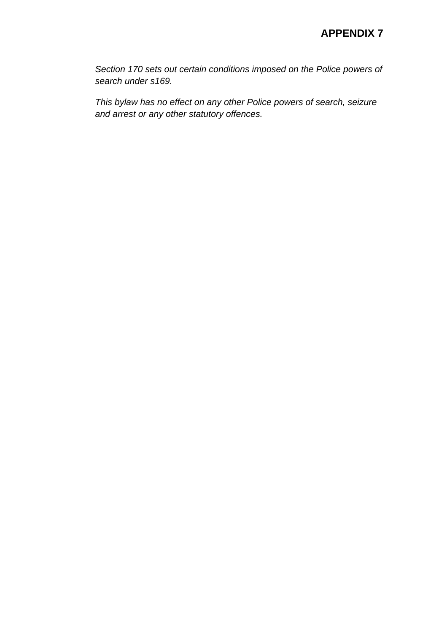*Section 170 sets out certain conditions imposed on the Police powers of search under s169.* 

 *This bylaw has no effect on any other Police powers of search, seizure and arrest or any other statutory offences.*